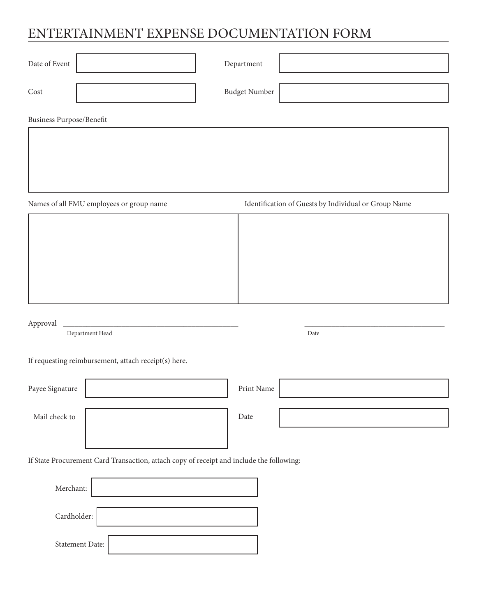# ENTERTAINMENT EXPENSE DOCUMENTATION FORM

| Date of Event                                                                            | $\mbox{Department}$                                  |
|------------------------------------------------------------------------------------------|------------------------------------------------------|
| Cost                                                                                     | Budget Number                                        |
| <b>Business Purpose/Benefit</b>                                                          |                                                      |
|                                                                                          |                                                      |
|                                                                                          |                                                      |
| Names of all FMU employees or group name                                                 | Identification of Guests by Individual or Group Name |
|                                                                                          |                                                      |
|                                                                                          |                                                      |
|                                                                                          |                                                      |
|                                                                                          |                                                      |
| Approval                                                                                 |                                                      |
| Department Head                                                                          | Date                                                 |
| If requesting reimbursement, attach receipt(s) here.                                     |                                                      |
| Payee Signature                                                                          | Print Name                                           |
| Mail check to                                                                            | Date                                                 |
|                                                                                          |                                                      |
| If State Procurement Card Transaction, attach copy of receipt and include the following: |                                                      |
| Merchant:                                                                                |                                                      |
| Cardholder:                                                                              |                                                      |
| Statement Date:                                                                          |                                                      |